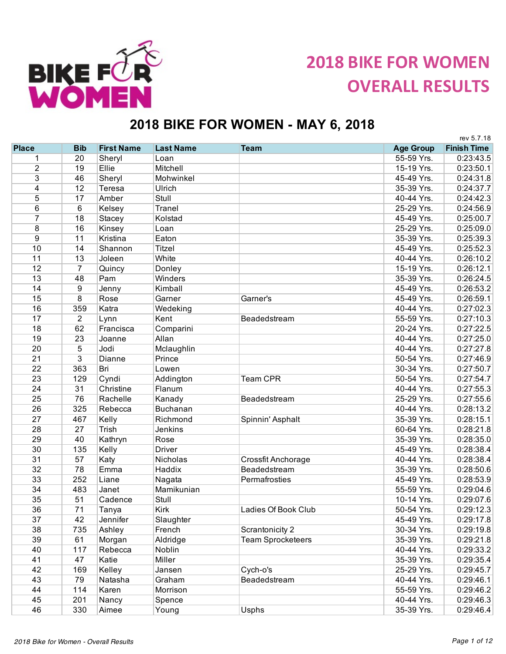

## **2018 BIKE FOR WOMEN OVERALL RESULTS**

## **2018 BIKE FOR WOMEN - MAY 6, 2018**

|                         |                |                   |                  |                          |                  | rev 5.7.18         |
|-------------------------|----------------|-------------------|------------------|--------------------------|------------------|--------------------|
| <b>Place</b>            | <b>Bib</b>     | <b>First Name</b> | <b>Last Name</b> | <b>Team</b>              | <b>Age Group</b> | <b>Finish Time</b> |
| 1                       | 20             | Sheryl            | Loan             |                          | 55-59 Yrs.       | 0:23:43.5          |
| $\overline{2}$          | 19             | Ellie             | Mitchell         |                          | 15-19 Yrs.       | 0:23:50.1          |
| 3                       | 46             | Sheryl            | Mohwinkel        |                          | 45-49 Yrs.       | 0:24:31.8          |
| $\overline{\mathbf{4}}$ | 12             | Teresa            | Ulrich           |                          | 35-39 Yrs.       | 0:24:37.7          |
| 5                       | 17             | Amber             | Stull            |                          | 40-44 Yrs.       | 0:24:42.3          |
| $\,6$                   | 6              | Kelsey            | Tranel           |                          | 25-29 Yrs.       | 0:24:56.9          |
| $\overline{7}$          | 18             | Stacey            | Kolstad          |                          | 45-49 Yrs.       | 0:25:00.7          |
| 8                       | 16             | Kinsey            | Loan             |                          | 25-29 Yrs.       | 0:25:09.0          |
| 9                       | 11             | Kristina          | Eaton            |                          | 35-39 Yrs.       | 0:25:39.3          |
| 10                      | 14             | Shannon           | Titzel           |                          | 45-49 Yrs.       | 0:25:52.3          |
| 11                      | 13             | Joleen            | White            |                          | 40-44 Yrs.       | 0:26:10.2          |
| 12                      | $\overline{7}$ | Quincy            | Donley           |                          | 15-19 Yrs.       | 0:26:12.1          |
| 13                      | 48             | Pam               | Winders          |                          | 35-39 Yrs.       | 0:26:24.5          |
| 14                      | 9              | Jenny             | Kimball          |                          | 45-49 Yrs.       | 0:26:53.2          |
| 15                      | 8              | Rose              | Garner           | Garner's                 | 45-49 Yrs.       | 0:26:59.1          |
| 16                      | 359            | Katra             | Wedeking         |                          | 40-44 Yrs.       | 0:27:02.3          |
| 17                      | $\overline{2}$ | Lynn              | Kent             | Beadedstream             | 55-59 Yrs.       | 0:27:10.3          |
| 18                      | 62             | Francisca         | Comparini        |                          | 20-24 Yrs.       | 0:27:22.5          |
| 19                      | 23             | Joanne            | Allan            |                          | 40-44 Yrs.       | 0:27:25.0          |
| $\overline{20}$         | 5              | Jodi              | Mclaughlin       |                          | 40-44 Yrs.       | 0:27:27.8          |
| 21                      | 3              | Dianne            | Prince           |                          | 50-54 Yrs.       | 0:27:46.9          |
| $\overline{22}$         | 363            | Bri               | Lowen            |                          | 30-34 Yrs.       | 0:27:50.7          |
| 23                      | 129            |                   |                  | <b>Team CPR</b>          | 50-54 Yrs.       | 0:27:54.7          |
|                         |                | Cyndi             | Addington        |                          |                  |                    |
| 24<br>25                | 31             | Christine         | Flanum           |                          | 40-44 Yrs.       | 0:27:55.3          |
|                         | 76             | Rachelle          | Kanady           | Beadedstream             | 25-29 Yrs.       | 0:27:55.6          |
| 26                      | 325            | Rebecca           | <b>Buchanan</b>  |                          | 40-44 Yrs.       | 0:28:13.2          |
| 27                      | 467            | Kelly             | Richmond         | Spinnin' Asphalt         | 35-39 Yrs.       | 0:28:15.1          |
| 28                      | 27             | <b>Trish</b>      | Jenkins          |                          | 60-64 Yrs.       | 0:28:21.8          |
| 29                      | 40             | Kathryn           | Rose             |                          | 35-39 Yrs.       | 0:28:35.0          |
| 30                      | 135            | Kelly             | <b>Driver</b>    |                          | 45-49 Yrs.       | 0:28:38.4          |
| 31                      | 57             | Katy              | Nicholas         | Crossfit Anchorage       | 40-44 Yrs.       | 0:28:38.4          |
| 32                      | 78             | Emma              | Haddix           | Beadedstream             | 35-39 Yrs.       | 0:28:50.6          |
| 33                      | 252            | Liane             | Nagata           | Permafrosties            | 45-49 Yrs.       | 0:28:53.9          |
| 34                      | 483            | Janet             | Mamikunian       |                          | 55-59 Yrs.       | 0:29:04.6          |
| 35                      | 51             | Cadence           | Stull            |                          | 10-14 Yrs.       | 0:29:07.6          |
| 36                      | 71             | Tanya             | <b>Kirk</b>      | Ladies Of Book Club      | 50-54 Yrs.       | 0:29:12.3          |
| 37                      | 42             | Jennifer          | Slaughter        |                          | 45-49 Yrs.       | 0:29:17.8          |
| 38                      | 735            | Ashley            | French           | Scrantonicity 2          | 30-34 Yrs.       | 0:29:19.8          |
| 39                      | 61             | Morgan            | Aldridge         | <b>Team Sprocketeers</b> | 35-39 Yrs.       | 0:29:21.8          |
| 40                      | 117            | Rebecca           | Noblin           |                          | 40-44 Yrs.       | 0:29:33.2          |
| 41                      | 47             | Katie             | Miller           |                          | 35-39 Yrs.       | 0:29:35.4          |
| 42                      | 169            | Kelley            | Jansen           | Cych-o's                 | 25-29 Yrs.       | 0:29:45.7          |
| 43                      | 79             | Natasha           | Graham           | Beadedstream             | 40-44 Yrs.       | 0:29:46.1          |
| 44                      | 114            | Karen             | Morrison         |                          | 55-59 Yrs.       | 0:29:46.2          |
| 45                      | 201            | Nancy             | Spence           |                          | 40-44 Yrs.       | 0:29:46.3          |
| 46                      | 330            | Aimee             | Young            | Usphs                    | 35-39 Yrs.       | 0:29:46.4          |
|                         |                |                   |                  |                          |                  |                    |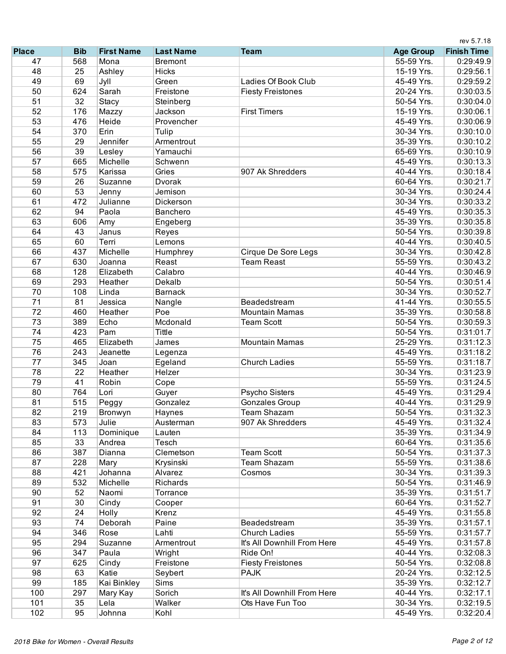|                 |            |                   |                     |                                         | rev 5.7.18       |                    |  |
|-----------------|------------|-------------------|---------------------|-----------------------------------------|------------------|--------------------|--|
| <b>Place</b>    | <b>Bib</b> | <b>First Name</b> | <b>Last Name</b>    | <b>Team</b>                             | <b>Age Group</b> | <b>Finish Time</b> |  |
| 47              | 568        | Mona              | <b>Bremont</b>      |                                         | 55-59 Yrs.       | 0:29:49.9          |  |
| 48              | 25         | Ashley            | <b>Hicks</b>        |                                         | 15-19 Yrs.       | 0:29:56.1          |  |
| 49              | 69         | Jyll              | Green               | Ladies Of Book Club                     | 45-49 Yrs.       | 0:29:59.2          |  |
| 50              | 624        | Sarah             | Freistone           | <b>Fiesty Freistones</b>                | 20-24 Yrs.       | 0:30:03.5          |  |
| 51              | 32         | Stacy             | Steinberg           |                                         | 50-54 Yrs.       | 0:30:04.0          |  |
| 52              | 176        | Mazzy             | Jackson             | <b>First Timers</b>                     | 15-19 Yrs.       | 0:30:06.1          |  |
| 53              | 476        | Heide             | Provencher          |                                         | 45-49 Yrs.       | 0:30:06.9          |  |
| 54              | 370        | Erin              | Tulip               |                                         | 30-34 Yrs.       | 0:30:10.0          |  |
| 55              | 29         | Jennifer          | Armentrout          |                                         | 35-39 Yrs.       | 0:30:10.2          |  |
| 56              | 39         | Lesley            | Yamauchi            |                                         | 65-69 Yrs.       | 0:30:10.9          |  |
| 57              | 665        | Michelle          | Schwenn             |                                         | 45-49 Yrs.       | 0:30:13.3          |  |
| 58              | 575        | Karissa           | Gries               | 907 Ak Shredders                        | 40-44 Yrs.       | 0:30:18.4          |  |
| 59              | 26         | Suzanne           | Dvorak              |                                         | 60-64 Yrs.       | 0:30:21.7          |  |
| 60              | 53         | Jenny             | Jemison             |                                         | 30-34 Yrs.       | 0:30:24.4          |  |
| 61              | 472        | Julianne          | Dickerson           |                                         | 30-34 Yrs.       | 0:30:33.2          |  |
| 62              | 94         | Paola             | Banchero            |                                         | 45-49 Yrs.       | 0:30:35.3          |  |
| 63              | 606        | Amy               | Engeberg            |                                         | 35-39 Yrs.       | 0:30:35.8          |  |
| 64              | 43         | Janus             | Reyes               |                                         | 50-54 Yrs.       | 0:30:39.8          |  |
| 65              | 60         | Terri             | Lemons              |                                         | 40-44 Yrs.       | 0:30:40.5          |  |
| 66              | 437        | Michelle          | Humphrey            | Cirque De Sore Legs                     | 30-34 Yrs.       | 0:30:42.8          |  |
| 67              | 630        | Joanna            | Reast               | <b>Team Reast</b>                       | 55-59 Yrs.       | 0:30:43.2          |  |
| 68              | 128        | Elizabeth         | Calabro             |                                         | 40-44 Yrs.       | 0:30:46.9          |  |
| 69              | 293        | Heather           | Dekalb              |                                         | 50-54 Yrs.       | 0:30:51.4          |  |
| 70              | 108        | Linda             | <b>Barnack</b>      |                                         | 30-34 Yrs.       | 0:30:52.7          |  |
| $\overline{71}$ | 81         | Jessica           | Nangle              | Beadedstream                            | 41-44 Yrs.       | 0:30:55.5          |  |
| 72              | 460        | Heather           | Poe                 | <b>Mountain Mamas</b>                   | 35-39 Yrs.       | 0:30:58.8          |  |
| 73              | 389        | Echo              | Mcdonald            | <b>Team Scott</b>                       | 50-54 Yrs.       | 0:30:59.3          |  |
| 74              | 423        | Pam               | <b>Tittle</b>       |                                         | 50-54 Yrs.       | 0:31:01.7          |  |
| 75              | 465        | Elizabeth         | James               | <b>Mountain Mamas</b>                   | 25-29 Yrs.       | 0:31:12.3          |  |
| 76              | 243        | Jeanette          | Legenza             |                                         | 45-49 Yrs.       | 0:31:18.2          |  |
| 77              | 345        | Joan              | Egeland             | <b>Church Ladies</b>                    | 55-59 Yrs.       | 0:31:18.7          |  |
| 78              | 22         | Heather           | Helzer              |                                         | 30-34 Yrs.       | 0:31:23.9          |  |
| 79              | 41         | Robin             | Cope                |                                         | 55-59 Yrs.       | 0:31:24.5          |  |
| 80              | 764        | Lori              | Guyer               | Psycho Sisters                          | 45-49 Yrs.       | 0:31:29.4          |  |
| 81              | 515        |                   | Gonzalez            | <b>Gonzales Group</b>                   | 40-44 Yrs.       | 0:31:29.9          |  |
| 82              | 219        | Peggy             |                     | Team Shazam                             | 50-54 Yrs.       | 0:31:32.3          |  |
| 83              | 573        | Bronwyn<br>Julie  | Haynes<br>Austerman | 907 Ak Shredders                        | 45-49 Yrs.       | 0:31:32.4          |  |
| 84              | 113        |                   | Lauten              |                                         | 35-39 Yrs.       |                    |  |
|                 |            | Dominique         | Tesch               |                                         | 60-64 Yrs.       | 0:31:34.9          |  |
| 85              | 33         | Andrea<br>Dianna  |                     |                                         |                  | 0:31:35.6          |  |
| 86<br>87        | 387        |                   | Clemetson           | <b>Team Scott</b><br><b>Team Shazam</b> | 50-54 Yrs.       | 0:31:37.3          |  |
|                 | 228        | Mary              | Krysinski           |                                         | 55-59 Yrs.       | 0:31:38.6          |  |
| 88              | 421        | Johanna           | Alvarez             | Cosmos                                  | 30-34 Yrs.       | 0:31:39.3          |  |
| 89              | 532        | Michelle          | Richards            |                                         | 50-54 Yrs.       | 0:31:46.9          |  |
| 90              | 52         | Naomi             | Torrance            |                                         | 35-39 Yrs.       | 0:31:51.7          |  |
| 91              | 30         | Cindy             | Cooper              |                                         | 60-64 Yrs.       | 0:31:52.7          |  |
| 92              | 24         | Holly             | Krenz               |                                         | 45-49 Yrs.       | 0:31:55.8          |  |
| 93              | 74         | Deborah           | Paine               | Beadedstream                            | 35-39 Yrs.       | 0:31:57.1          |  |
| 94              | 346        | Rose              | Lahti               | <b>Church Ladies</b>                    | 55-59 Yrs.       | 0:31:57.7          |  |
| 95              | 294        | Suzanne           | Armentrout          | It's All Downhill From Here             | 45-49 Yrs.       | 0:31:57.8          |  |
| 96              | 347        | Paula             | Wright              | Ride On!                                | 40-44 Yrs.       | 0:32:08.3          |  |
| 97              | 625        | Cindy             | Freistone           | <b>Fiesty Freistones</b>                | 50-54 Yrs.       | 0:32:08.8          |  |
| 98              | 63         | Katie             | Seybert             | <b>PAJK</b>                             | 20-24 Yrs.       | 0:32:12.5          |  |
| 99              | 185        | Kai Binkley       | Sims                |                                         | 35-39 Yrs.       | 0:32:12.7          |  |
| 100             | 297        | Mary Kay          | Sorich              | It's All Downhill From Here             | 40-44 Yrs.       | 0:32:17.1          |  |
| 101             | 35         | Lela              | Walker              | Ots Have Fun Too                        | 30-34 Yrs.       | 0:32:19.5          |  |
| 102             | 95         | Johnna            | Kohl                |                                         | 45-49 Yrs.       | 0:32:20.4          |  |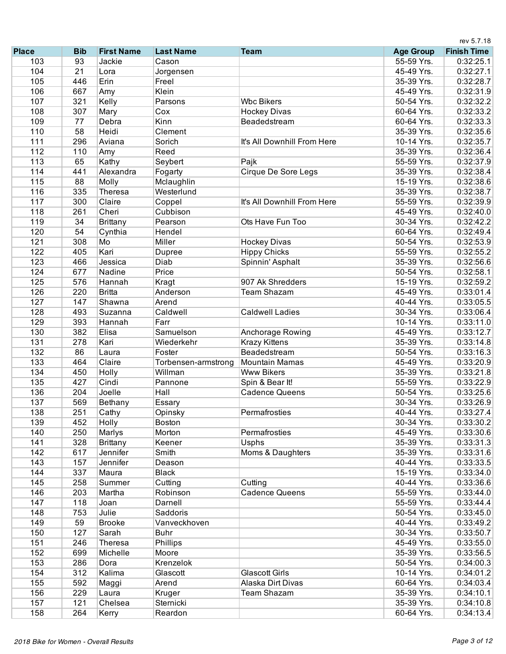|              |            |                     |                     |                             |                          | rev 5.7.18             |
|--------------|------------|---------------------|---------------------|-----------------------------|--------------------------|------------------------|
| <b>Place</b> | <b>Bib</b> | <b>First Name</b>   | <b>Last Name</b>    | <b>Team</b>                 | <b>Age Group</b>         | <b>Finish Time</b>     |
| 103          | 93         | Jackie              | Cason               |                             | 55-59 Yrs.               | 0:32:25.1              |
| 104          | 21         | Lora                | Jorgensen           |                             | 45-49 Yrs.               | 0:32:27.1              |
| 105          | 446        | Erin                | Freel               |                             | 35-39 Yrs.               | 0:32:28.7              |
| 106          | 667        | Amy                 | Klein               |                             | 45-49 Yrs.               | 0:32:31.9              |
| 107          | 321        | Kelly               | Parsons             | <b>Wbc Bikers</b>           | 50-54 Yrs.               | 0:32:32.2              |
| 108          | 307        | Mary                | Cox                 | <b>Hockey Divas</b>         | 60-64 Yrs.               | 0:32:33.2              |
| 109          | 77         | Debra               | Kinn                | Beadedstream                | 60-64 Yrs.               | 0:32:33.3              |
| 110          | 58         | Heidi               | Clement             |                             | 35-39 Yrs.               | 0:32:35.6              |
| 111          | 296        | Aviana              | Sorich              | It's All Downhill From Here | 10-14 Yrs.               | 0:32:35.7              |
| 112          | 110        | Amy                 | Reed                |                             | 35-39 Yrs.               | 0:32:36.4              |
| 113          | 65         | Kathy               | Seybert             | Pajk                        | 55-59 Yrs.               | 0:32:37.9              |
| 114          | 441        | Alexandra           | Fogarty             | Cirque De Sore Legs         | 35-39 Yrs.               | 0:32:38.4              |
| 115          | 88         | Molly               | Mclaughlin          |                             | 15-19 Yrs.               | 0:32:38.6              |
| 116          | 335        | Theresa             | Westerlund          |                             | 35-39 Yrs.               | 0:32:38.7              |
| 117          | 300        | Claire              | Coppel              | It's All Downhill From Here | 55-59 Yrs.               | 0:32:39.9              |
| 118          | 261        | Cheri               | Cubbison            |                             | 45-49 Yrs.               | 0:32:40.0              |
| 119          | 34         | Brittany            | Pearson             | Ots Have Fun Too            | 30-34 Yrs.               | 0:32:42.2              |
| 120          | 54         | Cynthia             | Hendel              |                             | 60-64 Yrs.               | 0:32:49.4              |
| 121          | 308        | Mo                  | Miller              | <b>Hockey Divas</b>         | 50-54 Yrs.               | 0:32:53.9              |
| 122          | 405        | Kari                | <b>Dupree</b>       | <b>Hippy Chicks</b>         | 55-59 Yrs.               | 0:32:55.2              |
| 123          | 466        | Jessica             | Diab                | Spinnin' Asphalt            | 35-39 Yrs.               | 0:32:56.6              |
| 124          | 677        | Nadine              | Price               |                             | 50-54 Yrs.               | 0:32:58.1              |
| 125          | 576        | Hannah              | Kragt               | 907 Ak Shredders            | 15-19 Yrs.               | 0:32:59.2              |
| 126          | 220        | <b>Britta</b>       | Anderson            | <b>Team Shazam</b>          | 45-49 Yrs.               | 0:33:01.4              |
| 127          | 147        | Shawna              | Arend               |                             | 40-44 Yrs.               | 0:33:05.5              |
| 128          | 493        | Suzanna             | Caldwell            | <b>Caldwell Ladies</b>      | 30-34 Yrs.               | 0:33:06.4              |
| 129          | 393        | Hannah              | Farr                |                             | 10-14 Yrs.               | 0:33:11.0              |
| 130          | 382        | Elisa               | Samuelson           | Anchorage Rowing            | 45-49 Yrs.               | 0:33:12.7              |
| 131          | 278        | Kari                | Wiederkehr          | <b>Krazy Kittens</b>        | 35-39 Yrs.               | 0:33:14.8              |
| 132          | 86         | Laura               | Foster              | Beadedstream                | 50-54 Yrs.               | 0:33:16.3              |
| 133          | 464        | Claire              | Torbensen-armstrong | <b>Mountain Mamas</b>       | 45-49 Yrs.               | 0:33:20.9              |
| 134          | 450        | Holly               | Willman             | <b>Www Bikers</b>           | 35-39 Yrs.               | 0:33:21.8              |
| 135          | 427        | Cindi               | Pannone             | Spin & Bear It!             | 55-59 Yrs.               | 0:33:22.9              |
| 136          | 204        | Joelle              | Hall                | <b>Cadence Queens</b>       | 50-54 Yrs.               | 0:33:25.6              |
| 137          | 569        | Bethany             | Essary              |                             | 30-34 Yrs.               | 0:33:26.9              |
| 138          | 251        | Cathy               | Opinsky             | Permafrosties               | 40-44 Yrs.               | 0:33:27.4              |
| 139          | 452        | Holly               | <b>Boston</b>       |                             | 30-34 Yrs.               | 0:33:30.2              |
| 140          | 250        | Marlys              | Morton              | Permafrosties               | 45-49 Yrs.               | 0:33:30.6              |
| 141          | 328        | Brittany            | Keener              | Usphs                       | 35-39 Yrs.               | 0:33:31.3              |
| 142          | 617        | Jennifer            | Smith               | Moms & Daughters            | 35-39 Yrs.               | 0:33:31.6              |
| 143          | 157        | Jennifer            | Deason              |                             | 40-44 Yrs.               | 0:33:33.5              |
| 144          | 337        | Maura               | <b>Black</b>        |                             | 15-19 Yrs.               | 0:33:34.0              |
| 145          | 258        | Summer              | Cutting             | Cutting                     | 40-44 Yrs.               | 0:33:36.6              |
| 146          | 203        | Martha              | Robinson            | <b>Cadence Queens</b>       | 55-59 Yrs.               | 0:33:44.0              |
| 147          | 118        | Joan                | Darnell             |                             | 55-59 Yrs.               | 0:33:44.4              |
| 148          | 753        | Julie               | Saddoris            |                             | 50-54 Yrs.               | 0:33:45.0              |
| 149          | 59         | <b>Brooke</b>       | Vanveckhoven        |                             | 40-44 Yrs.               | 0:33:49.2              |
| 150          | 127        | Sarah               | <b>Buhr</b>         |                             | 30-34 Yrs.               | 0:33:50.7              |
|              |            |                     |                     |                             |                          |                        |
| 151<br>152   | 246<br>699 | Theresa<br>Michelle | Phillips<br>Moore   |                             | 45-49 Yrs.<br>35-39 Yrs. | 0:33:55.0<br>0:33:56.5 |
| 153          |            | Dora                | Krenzelok           |                             |                          |                        |
|              | 286        |                     |                     |                             | 50-54 Yrs.               | 0:34:00.3              |
| 154          | 312        | Kalima              | Glascott            | <b>Glascott Girls</b>       | 10-14 Yrs.               | 0:34:01.2              |
| 155          | 592        | Maggi               | Arend               | Alaska Dirt Divas           | 60-64 Yrs.               | 0:34:03.4              |
| 156          | 229        | Laura               | Kruger              | Team Shazam                 | 35-39 Yrs.               | 0:34:10.1              |
| 157          | 121        | Chelsea             | Sternicki           |                             | 35-39 Yrs.               | 0:34:10.8              |
| 158          | 264        | Kerry               | Reardon             |                             | 60-64 Yrs.               | 0:34:13.4              |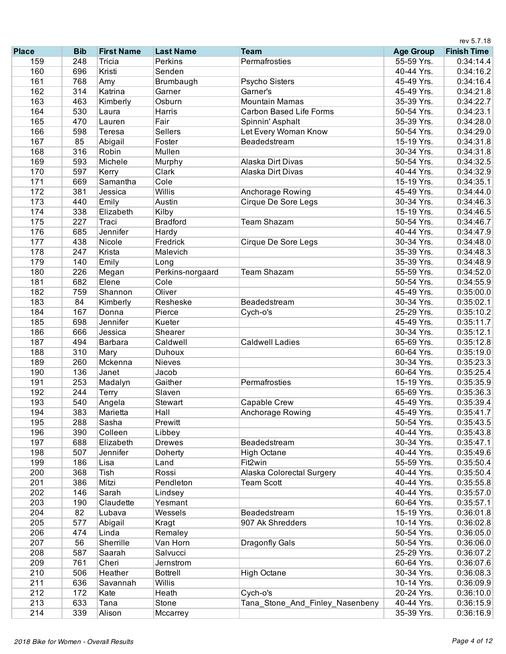|              |            |                   |                  |                                 |                  | rev 5.7.18         |
|--------------|------------|-------------------|------------------|---------------------------------|------------------|--------------------|
| <b>Place</b> | <b>Bib</b> | <b>First Name</b> | <b>Last Name</b> | <b>Team</b>                     | <b>Age Group</b> | <b>Finish Time</b> |
| 159          | 248        | Tricia            | <b>Perkins</b>   | Permafrosties                   | 55-59 Yrs.       | 0:34:14.4          |
| 160          | 696        | Kristi            | Senden           |                                 | 40-44 Yrs.       | 0:34:16.2          |
| 161          | 768        | Amy               | Brumbaugh        | Psycho Sisters                  | 45-49 Yrs.       | 0:34:16.4          |
| 162          | 314        | Katrina           | Garner           | Garner's                        | 45-49 Yrs.       | 0:34:21.8          |
| 163          | 463        | Kimberly          | Osburn           | <b>Mountain Mamas</b>           | 35-39 Yrs.       | 0:34:22.7          |
| 164          | 530        | Laura             | Harris           | <b>Carbon Based Life Forms</b>  | 50-54 Yrs.       | 0:34:23.1          |
| 165          | 470        | Lauren            | Fair             | Spinnin' Asphalt                | 35-39 Yrs.       | 0:34:28.0          |
| 166          | 598        | Teresa            | Sellers          | Let Every Woman Know            | 50-54 Yrs.       | 0:34:29.0          |
| 167          | 85         | Abigail           | Foster           | Beadedstream                    | 15-19 Yrs.       | 0:34:31.8          |
| 168          | 316        | Robin             | Mullen           |                                 | 30-34 Yrs.       | 0:34:31.8          |
| 169          | 593        | Michele           | Murphy           | Alaska Dirt Divas               | 50-54 Yrs.       | 0:34:32.5          |
| 170          | 597        | Kerry             | Clark            | Alaska Dirt Divas               | 40-44 Yrs.       | 0:34:32.9          |
| 171          | 669        | Samantha          | Cole             |                                 | 15-19 Yrs.       | 0:34:35.1          |
| 172          | 381        | Jessica           | Willis           | Anchorage Rowing                | 45-49 Yrs.       | 0:34:44.0          |
| 173          | 440        | Emily             | Austin           | Cirque De Sore Legs             | 30-34 Yrs.       | 0:34:46.3          |
| 174          | 338        | Elizabeth         | Kilby            |                                 | 15-19 Yrs.       | 0:34:46.5          |
| 175          | 227        | Traci             | <b>Bradford</b>  | <b>Team Shazam</b>              | 50-54 Yrs.       | 0:34:46.7          |
| 176          | 685        | Jennifer          | Hardy            |                                 | 40-44 Yrs.       | 0:34:47.9          |
| 177          | 438        | Nicole            | Fredrick         | Cirque De Sore Legs             | 30-34 Yrs.       | 0:34:48.0          |
| 178          | 247        | Krista            | Malevich         |                                 | 35-39 Yrs.       | 0:34:48.3          |
| 179          | 140        | Emily             | Long             |                                 | 35-39 Yrs.       | 0:34:48.9          |
| 180          | 226        | Megan             | Perkins-norgaard | <b>Team Shazam</b>              | 55-59 Yrs.       | 0:34:52.0          |
| 181          | 682        | Elene             | Cole             |                                 | 50-54 Yrs.       | 0:34:55.9          |
| 182          | 759        | Shannon           | Oliver           |                                 | 45-49 Yrs.       | 0:35:00.0          |
| 183          | 84         | Kimberly          | Resheske         | Beadedstream                    | 30-34 Yrs.       | 0:35:02.1          |
| 184          | 167        | Donna             | Pierce           | Cych-o's                        | 25-29 Yrs.       | 0:35:10.2          |
| 185          | 698        | Jennifer          | Kueter           |                                 | 45-49 Yrs.       | 0:35:11.7          |
| 186          | 666        | Jessica           | Shearer          |                                 | 30-34 Yrs.       | 0:35:12.1          |
| 187          | 494        | Barbara           | Caldwell         | <b>Caldwell Ladies</b>          | 65-69 Yrs.       | 0:35:12.8          |
| 188          | 310        | Mary              | Duhoux           |                                 | 60-64 Yrs.       | 0:35:19.0          |
| 189          | 260        | Mckenna           | Nieves           |                                 | 30-34 Yrs.       | 0:35:23.3          |
| 190          | 136        | Janet             | Jacob            |                                 | 60-64 Yrs.       | 0:35:25.4          |
| 191          | 253        | Madalyn           | Gaither          | Permafrosties                   | 15-19 Yrs.       | 0:35:35.9          |
| 192          | 244        | <b>Terry</b>      | Slaven           |                                 | 65-69 Yrs.       | 0:35:36.3          |
| 193          | 540        | Angela            | Stewart          | Capable Crew                    | 45-49 Yrs.       | 0:35:39.4          |
| 194          | 383        | Marietta          | Hall             | Anchorage Rowing                | 45-49 Yrs.       | 0:35:41.7          |
| 195          | 288        | Sasha             | Prewitt          |                                 | 50-54 Yrs.       | 0:35:43.5          |
| 196          | 390        | Colleen           | Libbey           |                                 | 40-44 Yrs.       | 0:35:43.8          |
| 197          | 688        | Elizabeth         | <b>Drewes</b>    | Beadedstream                    | 30-34 Yrs.       | 0:35:47.1          |
| 198          | 507        | Jennifer          | Doherty          | <b>High Octane</b>              | 40-44 Yrs.       | 0:35:49.6          |
| 199          | 186        | Lisa              | Land             | Fit2win                         | 55-59 Yrs.       | 0:35:50.4          |
| 200          | 368        | Tish              | Rossi            | Alaska Colorectal Surgery       | 40-44 Yrs.       | 0:35:50.4          |
| 201          | 386        | Mitzi             | Pendleton        | <b>Team Scott</b>               | 40-44 Yrs.       | 0:35:55.8          |
| 202          | 146        | Sarah             | Lindsey          |                                 | 40-44 Yrs.       | 0:35:57.0          |
| 203          | 190        | Claudette         | Yesmant          |                                 | 60-64 Yrs.       | 0:35:57.1          |
| 204          | 82         | Lubava            | Wessels          | Beadedstream                    | 15-19 Yrs.       | 0:36:01.8          |
| 205          | 577        | Abigail           | Kragt            | 907 Ak Shredders                | 10-14 Yrs.       | 0:36:02.8          |
| 206          | 474        | Linda             | Remaley          |                                 | 50-54 Yrs.       | 0:36:05.0          |
| 207          | 56         | Sherrille         | Van Horn         | Dragonfly Gals                  | 50-54 Yrs.       | 0:36:06.0          |
| 208          | 587        | Saarah            | Salvucci         |                                 | 25-29 Yrs.       | 0:36:07.2          |
| 209          | 761        | Cheri             | Jernstrom        |                                 | 60-64 Yrs.       | 0:36:07.6          |
| 210          | 506        | Heather           | <b>Bottrell</b>  | <b>High Octane</b>              | 30-34 Yrs.       | 0:36:08.3          |
| 211          | 636        | Savannah          | Willis           |                                 | 10-14 Yrs.       | 0:36:09.9          |
| 212          | 172        | Kate              | Heath            | Cych-o's                        | 20-24 Yrs.       | 0:36:10.0          |
| 213          | 633        | Tana              | Stone            | Tana_Stone_And_Finley_Nasenbeny | 40-44 Yrs.       | 0:36:15.9          |
| 214          | 339        | Alison            | Mccarrey         |                                 | 35-39 Yrs.       | 0:36:16.9          |
|              |            |                   |                  |                                 |                  |                    |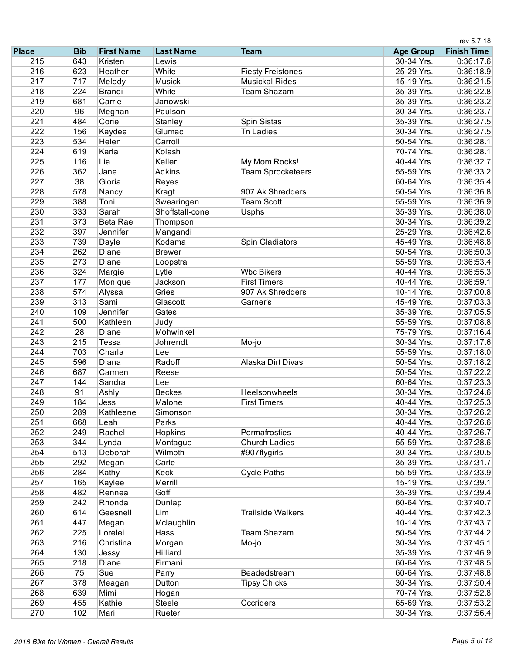|              |            |                   |                  |                          |                  | rev 5.7.18         |
|--------------|------------|-------------------|------------------|--------------------------|------------------|--------------------|
| <b>Place</b> | <b>Bib</b> | <b>First Name</b> | <b>Last Name</b> | <b>Team</b>              | <b>Age Group</b> | <b>Finish Time</b> |
| 215          | 643        | Kristen           | Lewis            |                          | 30-34 Yrs.       | 0:36:17.6          |
| 216          | 623        | Heather           | White            | <b>Fiesty Freistones</b> | 25-29 Yrs.       | 0:36:18.9          |
| 217          | 717        | Melody            | Musick           | <b>Musickal Rides</b>    | 15-19 Yrs.       | 0:36:21.5          |
| 218          | 224        | <b>Brandi</b>     | White            | <b>Team Shazam</b>       | 35-39 Yrs.       | 0:36:22.8          |
| 219          | 681        | Carrie            | Janowski         |                          | 35-39 Yrs.       | 0:36:23.2          |
| 220          | 96         | Meghan            | Paulson          |                          | 30-34 Yrs.       | 0:36:23.7          |
| 221          | 484        | Corie             | Stanley          | Spin Sistas              | 35-39 Yrs.       | 0:36:27.5          |
| 222          | 156        | Kaydee            | Glumac           | <b>Tn Ladies</b>         | 30-34 Yrs.       | 0:36:27.5          |
| 223          | 534        | Helen             | Carroll          |                          | 50-54 Yrs.       | 0:36:28.1          |
| 224          | 619        | Karla             | Kolash           |                          | 70-74 Yrs.       | 0:36:28.1          |
| 225          | 116        | Lia               | Keller           | My Mom Rocks!            | 40-44 Yrs.       | 0:36:32.7          |
| 226          | 362        | Jane              | <b>Adkins</b>    | <b>Team Sprocketeers</b> | 55-59 Yrs.       | 0:36:33.2          |
| 227          | 38         | Gloria            | Reyes            |                          | 60-64 Yrs.       | 0:36:35.4          |
| 228          | 578        | Nancy             | Kragt            | 907 Ak Shredders         | 50-54 Yrs.       | 0:36:36.8          |
| 229          | 388        | Toni              | Swearingen       | <b>Team Scott</b>        | 55-59 Yrs.       | 0:36:36.9          |
| 230          | 333        | Sarah             | Shoffstall-cone  | Usphs                    | 35-39 Yrs.       | 0:36:38.0          |
| 231          | 373        | <b>Beta Rae</b>   | Thompson         |                          | 30-34 Yrs.       | 0:36:39.2          |
| 232          | 397        | Jennifer          | Mangandi         |                          | 25-29 Yrs.       | 0:36:42.6          |
| 233          | 739        | Dayle             | Kodama           | Spin Gladiators          | 45-49 Yrs.       | 0:36:48.8          |
| 234          | 262        | Diane             | <b>Brewer</b>    |                          | 50-54 Yrs.       | 0:36:50.3          |
| 235          | 273        | Diane             | Loopstra         |                          | 55-59 Yrs.       | 0:36:53.4          |
| 236          | 324        | Margie            | Lytle            | <b>Wbc Bikers</b>        | 40-44 Yrs.       | 0:36:55.3          |
| 237          | 177        | Monique           | Jackson          | <b>First Timers</b>      | 40-44 Yrs.       | 0:36:59.1          |
| 238          | 574        | Alyssa            | Gries            | 907 Ak Shredders         | 10-14 Yrs.       | 0:37:00.8          |
| 239          | 313        | Sami              | Glascott         | Garner's                 | 45-49 Yrs.       | 0:37:03.3          |
| 240          | 109        | Jennifer          | Gates            |                          | 35-39 Yrs.       | 0:37:05.5          |
| 241          | 500        | Kathleen          | Judy             |                          | 55-59 Yrs.       | 0:37:08.8          |
| 242          | 28         | Diane             | Mohwinkel        |                          | 75-79 Yrs.       | 0:37:16.4          |
| 243          | 215        | Tessa             | Johrendt         | Mo-jo                    | 30-34 Yrs.       | 0:37:17.6          |
| 244          | 703        | Charla            | Lee              |                          | 55-59 Yrs.       | 0:37:18.0          |
| 245          | 596        | Diana             | Radoff           | Alaska Dirt Divas        | 50-54 Yrs.       | 0:37:18.2          |
| 246          | 687        | Carmen            | Reese            |                          | 50-54 Yrs.       | 0:37:22.2          |
| 247          | 144        | Sandra            | Lee              |                          | 60-64 Yrs.       | 0:37:23.3          |
| 248          | 91         | Ashly             | <b>Beckes</b>    | Heelsonwheels            | 30-34 Yrs.       | 0:37:24.6          |
| 249          | 184        | Jess              | Malone           | <b>First Timers</b>      | 40-44 Yrs.       | 0:37:25.3          |
| 250          | 289        | Kathleene         | Simonson         |                          | 30-34 Yrs.       | 0:37:26.2          |
| 251          | 668        | Leah              | Parks            |                          | 40-44 Yrs.       | 0:37:26.6          |
| 252          | 249        | Rachel            | Hopkins          | Permafrosties            | 40-44 Yrs.       | 0:37:26.7          |
| 253          | 344        | Lynda             | Montague         | <b>Church Ladies</b>     | 55-59 Yrs.       | 0:37:28.6          |
| 254          | 513        | Deborah           | Wilmoth          | #907flygirls             | 30-34 Yrs.       | 0:37:30.5          |
| 255          | 292        | Megan             | Carle            |                          | 35-39 Yrs.       | 0:37:31.7          |
| 256          | 284        | Kathy             | Keck             | <b>Cycle Paths</b>       | 55-59 Yrs.       | 0:37:33.9          |
| 257          | 165        | Kaylee            | Merrill          |                          | 15-19 Yrs.       | 0:37:39.1          |
| 258          | 482        | Rennea            | Goff             |                          | 35-39 Yrs.       | 0:37:39.4          |
| 259          | 242        | Rhonda            | Dunlap           |                          | 60-64 Yrs.       | 0:37:40.7          |
| 260          | 614        | Geesnell          | Lim              | <b>Trailside Walkers</b> | 40-44 Yrs.       | 0:37:42.3          |
| 261          | 447        | Megan             | Mclaughlin       |                          | 10-14 Yrs.       |                    |
| 262          | 225        | Lorelei           | Hass             | Team Shazam              | 50-54 Yrs.       | 0:37:43.7          |
| 263          |            |                   |                  |                          |                  | 0:37:44.2          |
|              | 216        | Christina         | Morgan           | Mo-jo                    | 30-34 Yrs.       | 0:37:45.1          |
| 264<br>265   | 130        | Jessy             | Hilliard         |                          | 35-39 Yrs.       | 0:37:46.9          |
|              | 218        | Diane             | Firmani          |                          | 60-64 Yrs.       | 0:37:48.5          |
| 266          | 75         | Sue               | Parry            | Beadedstream             | 60-64 Yrs.       | 0:37:48.8          |
| 267          | 378        | Meagan            | Dutton           | <b>Tipsy Chicks</b>      | 30-34 Yrs.       | 0:37:50.4          |
| 268          | 639        | Mimi              | Hogan            |                          | 70-74 Yrs.       | 0:37:52.8          |
| 269          | 455        | Kathie            | Steele           | Cccriders                | 65-69 Yrs.       | 0:37:53.2          |
| 270          | 102        | Mari              | Rueter           |                          | 30-34 Yrs.       | 0:37:56.4          |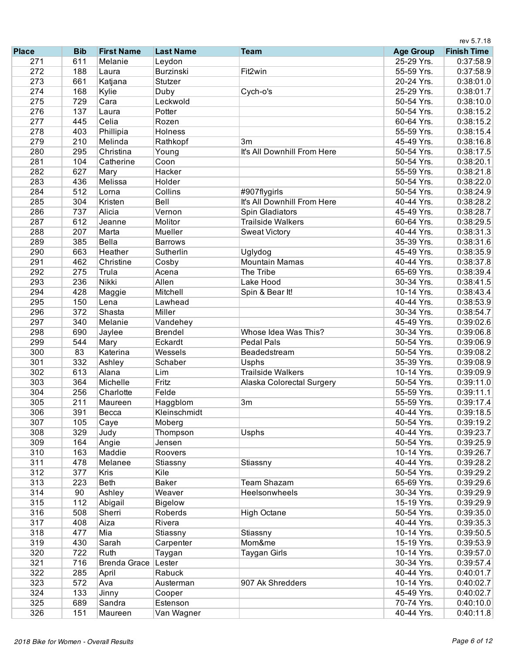|              |            |                     |                  |                             |                  | rev 5.7.18         |  |
|--------------|------------|---------------------|------------------|-----------------------------|------------------|--------------------|--|
| <b>Place</b> | <b>Bib</b> | <b>First Name</b>   | <b>Last Name</b> | <b>Team</b>                 | <b>Age Group</b> | <b>Finish Time</b> |  |
| 271          | 611        | Melanie             | Leydon           |                             | 25-29 Yrs.       | 0:37:58.9          |  |
| 272          | 188        | Laura               | <b>Burzinski</b> | Fit2win                     | 55-59 Yrs.       | 0:37:58.9          |  |
| 273          | 661        | Katjana             | Stutzer          |                             | 20-24 Yrs.       | 0:38:01.0          |  |
| 274          | 168        | Kylie               | Duby             | Cych-o's                    | 25-29 Yrs.       | 0:38:01.7          |  |
| 275          | 729        | Cara                | Leckwold         |                             | 50-54 Yrs.       | 0:38:10.0          |  |
| 276          | 137        | Laura               | Potter           |                             | 50-54 Yrs.       | 0:38:15.2          |  |
| 277          | 445        | Celia               | Rozen            |                             | 60-64 Yrs.       | 0:38:15.2          |  |
| 278          | 403        | Phillipia           | Holness          |                             | 55-59 Yrs.       | 0:38:15.4          |  |
| 279          | 210        | Melinda             | Rathkopf         | 3m                          | 45-49 Yrs.       | 0:38:16.8          |  |
| 280          | 295        | Christina           | Young            | It's All Downhill From Here | 50-54 Yrs.       | 0:38:17.5          |  |
| 281          | 104        | Catherine           | Coon             |                             | 50-54 Yrs.       | 0:38:20.1          |  |
| 282          | 627        | Mary                | Hacker           |                             | 55-59 Yrs.       | 0:38:21.8          |  |
| 283          | 436        | Melissa             | Holder           |                             | 50-54 Yrs.       | 0:38:22.0          |  |
| 284          | 512        | Lorna               | Collins          | #907flygirls                | 50-54 Yrs.       | 0:38:24.9          |  |
| 285          | 304        | Kristen             | Bell             | It's All Downhill From Here | 40-44 Yrs.       | 0:38:28.2          |  |
| 286          | 737        | Alicia              | Vernon           | Spin Gladiators             | 45-49 Yrs.       | 0:38:28.7          |  |
| 287          | 612        | Jeanne              | Molitor          | <b>Trailside Walkers</b>    | 60-64 Yrs.       | 0:38:29.5          |  |
| 288          | 207        | Marta               | Mueller          | <b>Sweat Victory</b>        | 40-44 Yrs.       | 0:38:31.3          |  |
| 289          | 385        | Bella               | <b>Barrows</b>   |                             | 35-39 Yrs.       | 0:38:31.6          |  |
| 290          | 663        | Heather             | Sutherlin        | Uglydog                     | 45-49 Yrs.       | 0:38:35.9          |  |
| 291          | 462        | Christine           | Cosby            | <b>Mountain Mamas</b>       | 40-44 Yrs.       | 0:38:37.8          |  |
| 292          | 275        | Trula               | Acena            | The Tribe                   | 65-69 Yrs.       | 0:38:39.4          |  |
| 293          | 236        | <b>Nikki</b>        | Allen            | Lake Hood                   | 30-34 Yrs.       | 0:38:41.5          |  |
| 294          | 428        | Maggie              | Mitchell         | Spin & Bear It!             | 10-14 Yrs.       | 0:38:43.4          |  |
| 295          | 150        | Lena                | Lawhead          |                             | 40-44 Yrs.       | 0:38:53.9          |  |
| 296          | 372        | Shasta              | Miller           |                             | 30-34 Yrs.       | 0:38:54.7          |  |
| 297          | 340        | Melanie             | Vandehey         |                             | 45-49 Yrs.       | 0:39:02.6          |  |
| 298          | 690        | Jaylee              | <b>Brendel</b>   | Whose Idea Was This?        | 30-34 Yrs.       | 0:39:06.8          |  |
| 299          | 544        | Mary                | Eckardt          | <b>Pedal Pals</b>           | 50-54 Yrs.       | 0:39:06.9          |  |
| 300          | 83         | Katerina            | Wessels          | Beadedstream                | 50-54 Yrs.       | 0:39:08.2          |  |
| 301          | 332        | Ashley              | Schaber          | Usphs                       | 35-39 Yrs.       | 0:39:08.9          |  |
| 302          | 613        | Alana               | Lim              | <b>Trailside Walkers</b>    | 10-14 Yrs.       | 0:39:09.9          |  |
| 303          | 364        | Michelle            | Fritz            | Alaska Colorectal Surgery   | 50-54 Yrs.       | 0:39:11.0          |  |
| 304          | 256        | Charlotte           | Felde            |                             | 55-59 Yrs.       | 0:39:11.1          |  |
| 305          | 211        | Maureen             | Haggblom         | 3 <sub>m</sub>              | 55-59 Yrs.       | 0:39:17.4          |  |
| 306          | 391        | Becca               | Kleinschmidt     |                             | 40-44 Yrs.       | 0:39:18.5          |  |
| 307          | 105        | Caye                | Moberg           |                             | 50-54 Yrs.       | 0:39:19.2          |  |
| 308          | 329        | Judy                | Thompson         | Usphs                       | 40-44 Yrs.       | 0:39:23.7          |  |
| 309          | 164        | Angie               | Jensen           |                             | 50-54 Yrs.       | 0:39:25.9          |  |
| 310          | 163        | Maddie              | Roovers          |                             | 10-14 Yrs.       | 0:39:26.7          |  |
| 311          | 478        | Melanee             | Stiassny         | Stiassny                    | 40-44 Yrs.       | 0:39:28.2          |  |
| 312          | 377        | Kris                | Kile             |                             | 50-54 Yrs.       | 0:39:29.2          |  |
| 313          | 223        | <b>Beth</b>         | <b>Baker</b>     | <b>Team Shazam</b>          | 65-69 Yrs.       | 0:39:29.6          |  |
| 314          | 90         | Ashley              | Weaver           | Heelsonwheels               | 30-34 Yrs.       | 0:39:29.9          |  |
| 315          | 112        | Abigail             | <b>Bigelow</b>   |                             | 15-19 Yrs.       | 0:39:29.9          |  |
| 316          | 508        | Sherri              | Roberds          | <b>High Octane</b>          | 50-54 Yrs.       | 0:39:35.0          |  |
| 317          | 408        | Aiza                | Rivera           |                             | 40-44 Yrs.       | 0:39:35.3          |  |
| 318          | 477        | Mia                 | Stiassny         | Stiassny                    | 10-14 Yrs.       | 0:39:50.5          |  |
| 319          | 430        | Sarah               | Carpenter        | Mom&me                      | 15-19 Yrs.       | 0:39:53.9          |  |
| 320          | 722        | Ruth                | Taygan           | Taygan Girls                | 10-14 Yrs.       | 0:39:57.0          |  |
| 321          | 716        | <b>Brenda Grace</b> | Lester           |                             | 30-34 Yrs.       | 0:39:57.4          |  |
| 322          | 285        | April               | Rabuck           |                             | 40-44 Yrs.       | 0:40:01.7          |  |
| 323          | 572        | Ava                 | Austerman        | 907 Ak Shredders            | 10-14 Yrs.       | 0:40:02.7          |  |
| 324          | 133        | Jinny               | Cooper           |                             | 45-49 Yrs.       | 0:40:02.7          |  |
| 325          | 689        | Sandra              | Estenson         |                             | 70-74 Yrs.       | 0:40:10.0          |  |
| 326          | 151        | Maureen             | Van Wagner       |                             | 40-44 Yrs.       | 0:40:11.8          |  |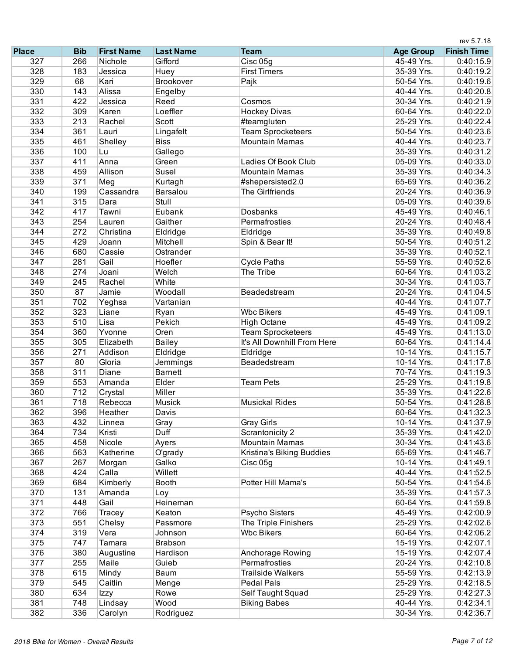|              |            |                   |                  |                             |                  | rev 5.7.18         |
|--------------|------------|-------------------|------------------|-----------------------------|------------------|--------------------|
| <b>Place</b> | <b>Bib</b> | <b>First Name</b> | <b>Last Name</b> | <b>Team</b>                 | <b>Age Group</b> | <b>Finish Time</b> |
| 327          | 266        | Nichole           | Gifford          | Cisc 05g                    | 45-49 Yrs.       | 0:40:15.9          |
| 328          | 183        | Jessica           | Huey             | <b>First Timers</b>         | 35-39 Yrs.       | 0:40:19.2          |
| 329          | 68         | Kari              | Brookover        | Pajk                        | 50-54 Yrs.       | 0:40:19.6          |
| 330          | 143        | Alissa            | Engelby          |                             | 40-44 Yrs.       | 0:40:20.8          |
| 331          | 422        | Jessica           | Reed             | Cosmos                      | 30-34 Yrs.       | 0:40:21.9          |
| 332          | 309        | Karen             | Loeffler         | <b>Hockey Divas</b>         | 60-64 Yrs.       | 0:40:22.0          |
| 333          | 213        | Rachel            | Scott            | #teamgluten                 | 25-29 Yrs.       | 0:40:22.4          |
| 334          | 361        | Lauri             | Lingafelt        | <b>Team Sprocketeers</b>    | 50-54 Yrs.       | 0:40:23.6          |
| 335          | 461        | Shelley           | <b>Biss</b>      | <b>Mountain Mamas</b>       | 40-44 Yrs.       | 0:40:23.7          |
| 336          | 100        | Lu                | Gallego          |                             | 35-39 Yrs.       | 0:40:31.2          |
| 337          | 411        | Anna              | Green            | Ladies Of Book Club         | 05-09 Yrs.       | 0:40:33.0          |
| 338          | 459        | Allison           | Susel            | <b>Mountain Mamas</b>       | 35-39 Yrs.       | 0:40:34.3          |
| 339          | 371        | Meg               | Kurtagh          | #shepersisted2.0            | 65-69 Yrs.       | 0:40:36.2          |
| 340          | 199        | Cassandra         | Barsalou         | The Girlfriends             | 20-24 Yrs.       | 0:40:36.9          |
| 341          | 315        | Dara              | Stull            |                             | 05-09 Yrs.       | 0:40:39.6          |
| 342          | 417        | Tawni             | Eubank           | Dosbanks                    | 45-49 Yrs.       | 0:40:46.1          |
| 343          | 254        | Lauren            | Gaither          | Permafrosties               | 20-24 Yrs.       | 0:40:48.4          |
| 344          | 272        | Christina         | Eldridge         | Eldridge                    | 35-39 Yrs.       | 0:40:49.8          |
| 345          | 429        | Joann             | Mitchell         | Spin & Bear It!             | 50-54 Yrs.       | 0:40:51.2          |
| 346          | 680        | Cassie            | Ostrander        |                             | 35-39 Yrs.       | 0:40:52.1          |
| 347          | 281        | Gail              | Hoefler          | <b>Cycle Paths</b>          | 55-59 Yrs.       | 0:40:52.6          |
| 348          | 274        | Joani             | Welch            | The Tribe                   | 60-64 Yrs.       | 0:41:03.2          |
| 349          | 245        | Rachel            | White            |                             | 30-34 Yrs.       | 0:41:03.7          |
| 350          | 87         | Jamie             | Woodall          | Beadedstream                | 20-24 Yrs.       | 0:41:04.5          |
| 351          | 702        |                   | Vartanian        |                             | 40-44 Yrs.       | 0:41:07.7          |
| 352          | 323        | Yeghsa<br>Liane   |                  | <b>Wbc Bikers</b>           | 45-49 Yrs.       |                    |
|              |            |                   | Ryan             |                             |                  | 0:41:09.1          |
| 353          | 510        | Lisa              | Pekich           | <b>High Octane</b>          | 45-49 Yrs.       | 0:41:09.2          |
| 354          | 360        | Yvonne            | Oren             | <b>Team Sprocketeers</b>    | 45-49 Yrs.       | 0:41:13.0          |
| 355          | 305        | Elizabeth         | <b>Bailey</b>    | It's All Downhill From Here | 60-64 Yrs.       | 0:41:14.4          |
| 356          | 271        | Addison           | Eldridge         | Eldridge                    | 10-14 Yrs.       | 0:41:15.7          |
| 357          | 80         | Gloria            | Jemmings         | Beadedstream                | 10-14 Yrs.       | 0:41:17.8          |
| 358          | 311        | Diane             | <b>Barnett</b>   |                             | 70-74 Yrs.       | 0:41:19.3          |
| 359          | 553        | Amanda            | Elder            | <b>Team Pets</b>            | 25-29 Yrs.       | 0:41:19.8          |
| 360          | 712        | Crystal           | Miller           |                             | 35-39 Yrs.       | 0:41:22.6          |
| 361          | 718        | Rebecca           | Musick           | <b>Musickal Rides</b>       | 50-54 Yrs.       | 0:41:28.8          |
| 362          | 396        | Heather           | Davis            |                             | 60-64 Yrs.       | 0:41:32.3          |
| 363          | 432        | Linnea            | Gray             | <b>Gray Girls</b>           | 10-14 Yrs.       | 0:41:37.9          |
| 364          | 734        | Kristi            | Duff             | Scrantonicity 2             | 35-39 Yrs.       | 0:41:42.0          |
| 365          | 458        | Nicole            | Ayers            | <b>Mountain Mamas</b>       | 30-34 Yrs.       | 0:41:43.6          |
| 366          | 563        | Katherine         | O'grady          | Kristina's Biking Buddies   | 65-69 Yrs.       | 0:41:46.7          |
| 367          | 267        | Morgan            | Galko            | Cisc <sub>05g</sub>         | 10-14 Yrs.       | 0:41:49.1          |
| 368          | 424        | Calla             | Willett          |                             | 40-44 Yrs.       | 0:41:52.5          |
| 369          | 684        | Kimberly          | <b>Booth</b>     | Potter Hill Mama's          | 50-54 Yrs.       | 0:41:54.6          |
| 370          | 131        | Amanda            | Loy              |                             | 35-39 Yrs.       | 0:41:57.3          |
| 371          | 448        | Gail              | Heineman         |                             | 60-64 Yrs.       | 0:41:59.8          |
| 372          | 766        | Tracey            | Keaton           | Psycho Sisters              | 45-49 Yrs.       | 0:42:00.9          |
| 373          | 551        | Chelsy            | Passmore         | The Triple Finishers        | 25-29 Yrs.       | 0:42:02.6          |
| 374          | 319        | Vera              | Johnson          | <b>Wbc Bikers</b>           | 60-64 Yrs.       | 0:42:06.2          |
| 375          | 747        | Tamara            | Brabson          |                             | 15-19 Yrs.       | 0:42:07.1          |
| 376          | 380        | Augustine         | Hardison         | Anchorage Rowing            | 15-19 Yrs.       | 0:42:07.4          |
| 377          | 255        | Maile             | Guieb            | Permafrosties               | 20-24 Yrs.       | 0:42:10.8          |
| 378          | 615        | Mindy             | Baum             | <b>Trailside Walkers</b>    | 55-59 Yrs.       | 0:42:13.9          |
| 379          | 545        | Caitlin           | Menge            | Pedal Pals                  | 25-29 Yrs.       | 0:42:18.5          |
| 380          | 634        | Izzy              | Rowe             | Self Taught Squad           | 25-29 Yrs.       | 0:42:27.3          |
| 381          | 748        | Lindsay           | Wood             | <b>Biking Babes</b>         | 40-44 Yrs.       | 0:42:34.1          |
| 382          | 336        | Carolyn           | Rodriguez        |                             | 30-34 Yrs.       | 0:42:36.7          |
|              |            |                   |                  |                             |                  |                    |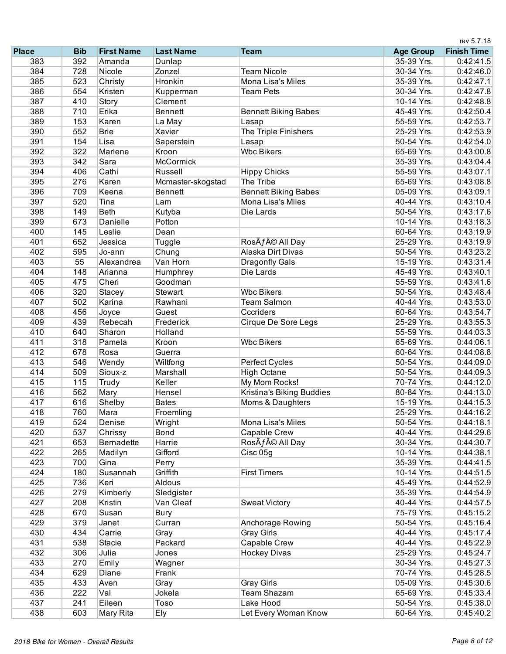|              |            |                   |                   |                             | rev 5.7.18       |                    |  |
|--------------|------------|-------------------|-------------------|-----------------------------|------------------|--------------------|--|
| <b>Place</b> | <b>Bib</b> | <b>First Name</b> | <b>Last Name</b>  | <b>Team</b>                 | <b>Age Group</b> | <b>Finish Time</b> |  |
| 383          | 392        | Amanda            | Dunlap            |                             | 35-39 Yrs.       | 0:42:41.5          |  |
| 384          | 728        | Nicole            | Zonzel            | <b>Team Nicole</b>          | 30-34 Yrs.       | 0:42:46.0          |  |
| 385          | 523        | Christy           | Hronkin           | Mona Lisa's Miles           | 35-39 Yrs.       | 0:42:47.1          |  |
| 386          | 554        | Kristen           | Kupperman         | <b>Team Pets</b>            | 30-34 Yrs.       | 0:42:47.8          |  |
| 387          | 410        | Story             | Clement           |                             | 10-14 Yrs.       | 0:42:48.8          |  |
| 388          | 710        | Erika             | <b>Bennett</b>    | <b>Bennett Biking Babes</b> | 45-49 Yrs.       | 0:42:50.4          |  |
| 389          | 153        | Karen             | La May            | Lasap                       | 55-59 Yrs.       | 0:42:53.7          |  |
| 390          | 552        | <b>Brie</b>       | Xavier            | The Triple Finishers        | 25-29 Yrs.       | 0:42:53.9          |  |
| 391          | 154        | Lisa              | Saperstein        | Lasap                       | 50-54 Yrs.       | 0:42:54.0          |  |
| 392          | 322        | Marlene           | Kroon             | <b>Wbc Bikers</b>           | 65-69 Yrs.       | 0:43:00.8          |  |
| 393          | 342        | Sara              | McCormick         |                             | 35-39 Yrs.       | 0:43:04.4          |  |
| 394          | 406        | Cathi             | Russell           | <b>Hippy Chicks</b>         | 55-59 Yrs.       | 0:43:07.1          |  |
| 395          | 276        | Karen             | Mcmaster-skogstad | The Tribe                   | 65-69 Yrs.       | 0:43:08.8          |  |
| 396          | 709        | Keena             | <b>Bennett</b>    | <b>Bennett Biking Babes</b> | 05-09 Yrs.       | 0:43:09.1          |  |
| 397          | 520        | Tina              | Lam               | Mona Lisa's Miles           | 40-44 Yrs.       | 0:43:10.4          |  |
| 398          | 149        | <b>Beth</b>       | Kutyba            | Die Lards                   | 50-54 Yrs.       | 0:43:17.6          |  |
| 399          | 673        | Danielle          | Potton            |                             | 10-14 Yrs.       | 0:43:18.3          |  |
| 400          | 145        | Leslie            | Dean              |                             | 60-64 Yrs.       | 0:43:19.9          |  |
| 401          | 652        | Jessica           | Tuggle            | RosÃf© All Day              | 25-29 Yrs.       | 0:43:19.9          |  |
| 402          | 595        | Jo-ann            | Chung             | <b>Alaska Dirt Divas</b>    | 50-54 Yrs.       | 0:43:23.2          |  |
| 403          | 55         | Alexandrea        | Van Horn          | Dragonfly Gals              | 15-19 Yrs.       | 0:43:31.4          |  |
| 404          | 148        | Arianna           | Humphrey          | Die Lards                   | 45-49 Yrs.       | 0:43:40.1          |  |
| 405          | 475        | Cheri             | Goodman           |                             | 55-59 Yrs.       | 0:43:41.6          |  |
| 406          | 320        | Stacey            | Stewart           | <b>Wbc Bikers</b>           | 50-54 Yrs.       | 0:43:48.4          |  |
| 407          | 502        | Karina            | Rawhani           | <b>Team Salmon</b>          | 40-44 Yrs.       | 0:43:53.0          |  |
| 408          | 456        | Joyce             | Guest             | Cccriders                   | 60-64 Yrs.       | 0:43:54.7          |  |
| 409          | 439        | Rebecah           | Frederick         | Cirque De Sore Legs         | 25-29 Yrs.       | 0:43:55.3          |  |
| 410          | 640        | Sharon            | Holland           |                             | 55-59 Yrs.       | 0:44:03.3          |  |
| 411          | 318        | Pamela            | Kroon             | <b>Wbc Bikers</b>           | 65-69 Yrs.       | 0:44:06.1          |  |
| 412          | 678        | Rosa              | Guerra            |                             | 60-64 Yrs.       | 0:44:08.8          |  |
| 413          | 546        | Wendy             | Wiltfong          | Perfect Cycles              | 50-54 Yrs.       | 0:44:09.0          |  |
| 414          | 509        | Sioux-z           | Marshall          | <b>High Octane</b>          | 50-54 Yrs.       | 0:44:09.3          |  |
| 415          | 115        | Trudy             | Keller            | My Mom Rocks!               | 70-74 Yrs.       | 0:44:12.0          |  |
| 416          | 562        | Mary              | Hensel            | Kristina's Biking Buddies   | 80-84 Yrs.       | 0:44:13.0          |  |
| 417          | 616        | Shelby            | <b>Bates</b>      | Moms & Daughters            | 15-19 Yrs.       | 0:44:15.3          |  |
| 418          | 760        | Mara              | Froemling         |                             | 25-29 Yrs.       | 0:44:16.2          |  |
| 419          | 524        | Denise            | Wright            | Mona Lisa's Miles           | 50-54 Yrs.       | 0:44:18.1          |  |
| 420          | 537        | Chrissy           | Bond              | Capable Crew                | 40-44 Yrs.       | 0:44:29.6          |  |
| 421          | 653        | Bernadette        | Harrie            | RosÃf© All Day              | 30-34 Yrs.       | 0:44:30.7          |  |
| 422          | 265        | Madilyn           | Gifford           | Cisc 05g                    | 10-14 Yrs.       | 0:44:38.1          |  |
| 423          | 700        | Gina              | Perry             |                             | 35-39 Yrs.       | 0:44:41.5          |  |
| 424          | 180        | Susannah          | Griffith          | <b>First Timers</b>         | 10-14 Yrs.       | 0:44:51.5          |  |
| 425          | 736        | Keri              | Aldous            |                             | 45-49 Yrs.       | 0:44:52.9          |  |
| 426          | 279        | Kimberly          | Sledgister        |                             | 35-39 Yrs.       | 0:44:54.9          |  |
| 427          | 208        | Kristin           | Van Cleaf         | <b>Sweat Victory</b>        | 40-44 Yrs.       | 0:44:57.5          |  |
| 428          | 670        | Susan             | <b>Bury</b>       |                             | 75-79 Yrs.       | 0:45:15.2          |  |
| 429          | 379        | Janet             | Curran            | Anchorage Rowing            | 50-54 Yrs.       | 0:45:16.4          |  |
| 430          | 434        | Carrie            | Gray              | <b>Gray Girls</b>           | 40-44 Yrs.       | 0:45:17.4          |  |
| 431          | 538        | Stacie            | Packard           | Capable Crew                | 40-44 Yrs.       | 0:45:22.9          |  |
| 432          | 306        | Julia             | Jones             | <b>Hockey Divas</b>         | 25-29 Yrs.       | 0:45:24.7          |  |
| 433          | 270        | Emily             | Wagner            |                             | 30-34 Yrs.       | 0:45:27.3          |  |
| 434          | 629        | Diane             | Frank             |                             | 70-74 Yrs.       | 0:45:28.5          |  |
| 435          | 433        | Aven              | Gray              | <b>Gray Girls</b>           | 05-09 Yrs.       | 0:45:30.6          |  |
| 436          | 222        | Val               | Jokela            | <b>Team Shazam</b>          | 65-69 Yrs.       | 0:45:33.4          |  |
| 437          | 241        | Eileen            | Toso              | Lake Hood                   | 50-54 Yrs.       | 0:45:38.0          |  |
| 438          | 603        | Mary Rita         | Ely               | Let Every Woman Know        | 60-64 Yrs.       | 0:45:40.2          |  |
|              |            |                   |                   |                             |                  |                    |  |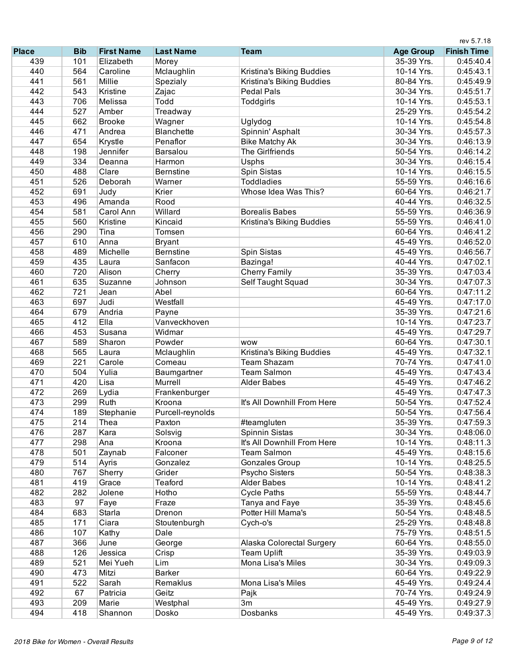|              |            |                   |                   |                             |                  | rev 5.7.18         |
|--------------|------------|-------------------|-------------------|-----------------------------|------------------|--------------------|
| <b>Place</b> | <b>Bib</b> | <b>First Name</b> | <b>Last Name</b>  | <b>Team</b>                 | <b>Age Group</b> | <b>Finish Time</b> |
| 439          | 101        | Elizabeth         | Morey             |                             | 35-39 Yrs.       | 0:45:40.4          |
| 440          | 564        | Caroline          | Mclaughlin        | Kristina's Biking Buddies   | 10-14 Yrs.       | 0:45:43.1          |
| 441          | 561        | Millie            | Spezialy          | Kristina's Biking Buddies   | 80-84 Yrs.       | 0:45:49.9          |
| 442          | 543        | Kristine          | Zajac             | <b>Pedal Pals</b>           | 30-34 Yrs.       | 0:45:51.7          |
| 443          | 706        | Melissa           | Todd              | Toddgirls                   | 10-14 Yrs.       | 0:45:53.1          |
| 444          | 527        | Amber             | Treadway          |                             | 25-29 Yrs.       | 0:45:54.2          |
| 445          | 662        | <b>Brooke</b>     | Wagner            | Uglydog                     | 10-14 Yrs.       | 0:45:54.8          |
| 446          | 471        | Andrea            | <b>Blanchette</b> | Spinnin' Asphalt            | 30-34 Yrs.       | 0:45:57.3          |
| 447          | 654        | Krystle           | Penaflor          | <b>Bike Matchy Ak</b>       | 30-34 Yrs.       | 0:46:13.9          |
| 448          | 198        | Jennifer          | Barsalou          | <b>The Girlfriends</b>      | 50-54 Yrs.       | 0:46:14.2          |
| 449          | 334        | Deanna            | Harmon            | Usphs                       | 30-34 Yrs.       | 0:46:15.4          |
| 450          | 488        | Clare             | <b>Bernstine</b>  | Spin Sistas                 | 10-14 Yrs.       | 0:46:15.5          |
| 451          | 526        | Deborah           | Warner            | <b>Toddladies</b>           | 55-59 Yrs.       | 0:46:16.6          |
| 452          | 691        | Judy              | Krier             | Whose Idea Was This?        | 60-64 Yrs.       | 0:46:21.7          |
| 453          | 496        | Amanda            | Rood              |                             | 40-44 Yrs.       | 0:46:32.5          |
| 454          | 581        | Carol Ann         | Willard           | <b>Borealis Babes</b>       | 55-59 Yrs.       | 0:46:36.9          |
| 455          | 560        | Kristine          | Kincaid           | Kristina's Biking Buddies   | 55-59 Yrs.       | 0:46:41.0          |
| 456          | 290        | Tina              | Tomsen            |                             | 60-64 Yrs.       | 0:46:41.2          |
| 457          | 610        | Anna              | <b>Bryant</b>     |                             | 45-49 Yrs.       | 0:46:52.0          |
| 458          | 489        | Michelle          | <b>Bernstine</b>  | Spin Sistas                 | 45-49 Yrs.       | 0:46:56.7          |
| 459          | 435        | Laura             | Sanfacon          | Bazinga!                    | 40-44 Yrs.       | 0:47:02.1          |
| 460          | 720        | Alison            | Cherry            | <b>Cherry Family</b>        | 35-39 Yrs.       | 0:47:03.4          |
| 461          | 635        | Suzanne           | Johnson           | Self Taught Squad           | 30-34 Yrs.       | 0:47:07.3          |
| 462          | 721        |                   | Abel              |                             | 60-64 Yrs.       |                    |
| 463          | 697        | Jean<br>Judi      | Westfall          |                             |                  | 0:47:11.2          |
| 464          |            |                   |                   |                             | 45-49 Yrs.       | 0:47:17.0          |
|              | 679        | Andria            | Payne             |                             | 35-39 Yrs.       | 0:47:21.6          |
| 465          | 412        | Ella              | Vanveckhoven      |                             | 10-14 Yrs.       | 0:47:23.7          |
| 466          | 453        | Susana            | Widmar            |                             | 45-49 Yrs.       | 0:47:29.7          |
| 467          | 589        | Sharon            | Powder            | <b>WOW</b>                  | 60-64 Yrs.       | 0:47:30.1          |
| 468          | 565        | Laura             | Mclaughlin        | Kristina's Biking Buddies   | 45-49 Yrs.       | 0:47:32.1          |
| 469          | 221        | Carole            | Comeau            | <b>Team Shazam</b>          | 70-74 Yrs.       | 0:47:41.0          |
| 470          | 504        | Yulia             | Baumgartner       | <b>Team Salmon</b>          | 45-49 Yrs.       | 0:47:43.4          |
| 471          | 420        | Lisa              | Murrell           | <b>Alder Babes</b>          | 45-49 Yrs.       | 0:47:46.2          |
| 472          | 269        | Lydia             | Frankenburger     |                             | 45-49 Yrs.       | 0:47:47.3          |
| 473          | 299        | Ruth              | Kroona            | It's All Downhill From Here | 50-54 Yrs.       | 0:47:52.4          |
| 474          | 189        | Stephanie         | Purcell-reynolds  |                             | 50-54 Yrs.       | 0:47:56.4          |
| 475          | 214        | Thea              | Paxton            | #teamgluten                 | 35-39 Yrs.       | 0:47:59.3          |
| 476          | 287        | Kara              | Solsvig           | Spinnin Sistas              | 30-34 Yrs.       | 0:48:06.0          |
| 477          | 298        | Ana               | Kroona            | It's All Downhill From Here | 10-14 Yrs.       | 0:48:11.3          |
| 478          | 501        | Zaynab            | Falconer          | <b>Team Salmon</b>          | 45-49 Yrs.       | 0:48:15.6          |
| 479          | 514        | Ayris             | Gonzalez          | Gonzales Group              | 10-14 Yrs.       | 0:48:25.5          |
| 480          | 767        | Sherry            | Grider            | Psycho Sisters              | 50-54 Yrs.       | 0:48:38.3          |
| 481          | 419        | Grace             | Teaford           | <b>Alder Babes</b>          | 10-14 Yrs.       | 0:48:41.2          |
| 482          | 282        | Jolene            | Hotho             | <b>Cycle Paths</b>          | 55-59 Yrs.       | 0:48:44.7          |
| 483          | 97         | Faye              | Fraze             | Tanya and Faye              | 35-39 Yrs.       | 0:48:45.6          |
| 484          | 683        | Starla            | Drenon            | Potter Hill Mama's          | 50-54 Yrs.       | 0:48:48.5          |
| 485          | 171        | Ciara             | Stoutenburgh      | Cych-o's                    | 25-29 Yrs.       | 0:48:48.8          |
| 486          | 107        | Kathy             | Dale              |                             | 75-79 Yrs.       | 0:48:51.5          |
| 487          | 366        | June              | George            | Alaska Colorectal Surgery   | 60-64 Yrs.       | 0:48:55.0          |
| 488          | 126        | Jessica           | Crisp             | <b>Team Uplift</b>          | 35-39 Yrs.       | 0:49:03.9          |
| 489          | 521        | Mei Yueh          | Lim               | Mona Lisa's Miles           | 30-34 Yrs.       | 0:49:09.3          |
| 490          | 473        | Mitzi             | <b>Barker</b>     |                             | 60-64 Yrs.       | 0:49:22.9          |
| 491          | 522        | Sarah             | Remaklus          | Mona Lisa's Miles           | 45-49 Yrs.       | 0:49:24.4          |
| 492          | 67         | Patricia          | Geitz             |                             | 70-74 Yrs.       | 0:49:24.9          |
| 493          | 209        | Marie             |                   | Pajk<br>3m                  | 45-49 Yrs.       | 0:49:27.9          |
|              |            |                   | Westphal          |                             |                  |                    |
| 494          | 418        | Shannon           | Dosko             | Dosbanks                    | 45-49 Yrs.       | 0:49:37.3          |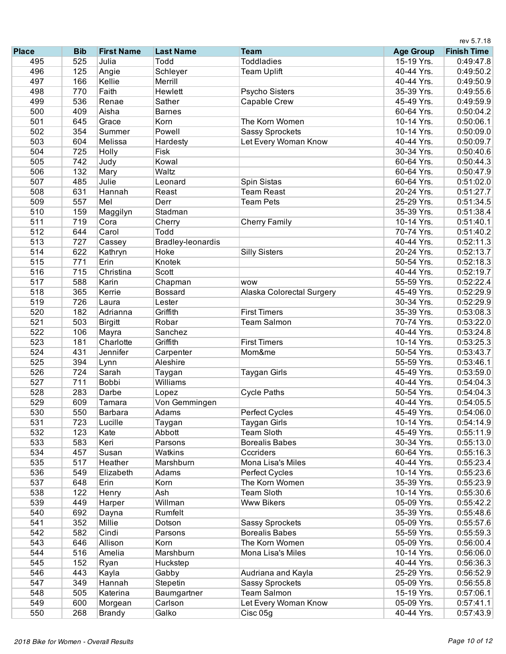|              |            |                   |                        |                           |                          | rev 5.7.18         |
|--------------|------------|-------------------|------------------------|---------------------------|--------------------------|--------------------|
| <b>Place</b> | <b>Bib</b> | <b>First Name</b> | <b>Last Name</b>       | <b>Team</b>               | <b>Age Group</b>         | <b>Finish Time</b> |
| 495          | 525        | Julia             | Todd                   | <b>Toddladies</b>         | 15-19 Yrs.               | 0:49:47.8          |
| 496          | 125        | Angie             | Schleyer               | <b>Team Uplift</b>        | 40-44 Yrs.               | 0:49:50.2          |
| 497          | 166        | Kellie            | Merrill                |                           | 40-44 Yrs.               | 0:49:50.9          |
| 498          | 770        | Faith             | Hewlett                | Psycho Sisters            | 35-39 Yrs.               | 0:49:55.6          |
| 499          | 536        | Renae             | Sather                 | Capable Crew              | 45-49 Yrs.               | 0:49:59.9          |
| 500          | 409        | Aisha             | <b>Barnes</b>          |                           | 60-64 Yrs.               | 0:50:04.2          |
| 501          | 645        | Grace             | Korn                   | The Korn Women            | 10-14 Yrs.               | 0:50:06.1          |
| 502          | 354        | Summer            | Powell                 | <b>Sassy Sprockets</b>    | 10-14 Yrs.               | 0:50:09.0          |
| 503          | 604        | Melissa           | Hardesty               | Let Every Woman Know      | 40-44 Yrs.               | 0:50:09.7          |
| 504          | 725        | Holly             | Fisk                   |                           | 30-34 Yrs.               | 0:50:40.6          |
| 505          | 742        | Judy              | Kowal                  |                           | 60-64 Yrs.               | 0:50:44.3          |
| 506          | 132        | Mary              | Waltz                  |                           | 60-64 Yrs.               | 0:50:47.9          |
| 507          | 485        | Julie             | Leonard                | Spin Sistas               | 60-64 Yrs.               | 0:51:02.0          |
| 508          | 631        | Hannah            | Reast                  | <b>Team Reast</b>         | 20-24 Yrs.               | 0:51:27.7          |
| 509          | 557        | Mel               | Derr                   | <b>Team Pets</b>          | 25-29 Yrs.               | 0:51:34.5          |
| 510          | 159        | Maggilyn          | Stadman                |                           | 35-39 Yrs.               | 0:51:38.4          |
| 511          | 719        | Cora              | Cherry                 | <b>Cherry Family</b>      | 10-14 Yrs.               | 0:51:40.1          |
| 512          | 644        | Carol             | Todd                   |                           | 70-74 Yrs.               | 0:51:40.2          |
| 513          | 727        | Cassey            | Bradley-leonardis      |                           | 40-44 Yrs.               | 0:52:11.3          |
| 514          | 622        | Kathryn           | Hoke                   | <b>Silly Sisters</b>      | 20-24 Yrs.               | 0:52:13.7          |
| 515          | 771        | Erin              | Knotek                 |                           | 50-54 Yrs.               | 0:52:18.3          |
| 516          | 715        | Christina         | Scott                  |                           | 40-44 Yrs.               | 0:52:19.7          |
| 517          | 588        | Karin             | Chapman                | <b>WOW</b>                | 55-59 Yrs.               | 0:52:22.4          |
| 518          | 365        | Kerrie            | <b>Bossard</b>         | Alaska Colorectal Surgery | 45-49 Yrs.               | 0:52:29.9          |
| 519          | 726        | Laura             | Lester                 |                           | 30-34 Yrs.               | 0:52:29.9          |
| 520          | 182        | Adrianna          | Griffith               | <b>First Timers</b>       | 35-39 Yrs.               | 0:53:08.3          |
| 521          | 503        | <b>Birgitt</b>    | Robar                  | <b>Team Salmon</b>        | 70-74 Yrs.               | 0:53:22.0          |
| 522          | 106        | Mayra             | Sanchez                |                           | 40-44 Yrs.               | 0:53:24.8          |
| 523          | 181        | Charlotte         | Griffith               | <b>First Timers</b>       | 10-14 Yrs.               | 0:53:25.3          |
| 524          | 431        | Jennifer          | Carpenter              | Mom&me                    | 50-54 Yrs.               | 0:53:43.7          |
| 525          | 394        | Lynn              | Aleshire               |                           | 55-59 Yrs.               | 0:53:46.1          |
| 526          | 724        | Sarah             | Taygan                 | Taygan Girls              | 45-49 Yrs.               | 0:53:59.0          |
| 527          | 711        | <b>Bobbi</b>      | Williams               |                           | 40-44 Yrs.               | 0:54:04.3          |
| 528          | 283        | Darbe             |                        | <b>Cycle Paths</b>        | 50-54 Yrs.               | 0:54:04.3          |
| 529          | 609        | Tamara            | Lopez<br>Von Gemmingen |                           | 40-44 Yrs.               | 0:54:05.5          |
| 530          |            | Barbara           | Adams                  |                           | 45-49 Yrs.               |                    |
|              | 550        |                   |                        | Perfect Cycles            |                          | 0:54:06.0          |
| 531          | 723        | Lucille           | Taygan                 | <b>Taygan Girls</b>       | 10-14 Yrs.<br>45-49 Yrs. | 0:54:14.9          |
| 532          | 123        | Kate              | Abbott                 | <b>Team Sloth</b>         |                          | 0:55:11.9          |
| 533          | 583        | Keri              | Parsons                | <b>Borealis Babes</b>     | 30-34 Yrs.               | 0:55:13.0          |
| 534          | 457        | Susan             | Watkins                | Cccriders                 | 60-64 Yrs.               | 0:55:16.3          |
| 535          | 517        | Heather           | Marshburn              | Mona Lisa's Miles         | 40-44 Yrs.               | 0:55:23.4          |
| 536          | 549        | Elizabeth         | Adams                  | Perfect Cycles            | 10-14 Yrs.               | 0:55:23.6          |
| 537          | 648        | Erin              | Korn                   | The Korn Women            | 35-39 Yrs.               | 0:55:23.9          |
| 538          | 122        | Henry             | Ash                    | <b>Team Sloth</b>         | 10-14 Yrs.               | 0:55:30.6          |
| 539          | 449        | Harper            | Willman                | <b>Www Bikers</b>         | 05-09 Yrs.               | 0:55:42.2          |
| 540          | 692        | Dayna             | Rumfelt                |                           | 35-39 Yrs.               | 0:55:48.6          |
| 541          | 352        | Millie            | Dotson                 | <b>Sassy Sprockets</b>    | 05-09 Yrs.               | 0:55:57.6          |
| 542          | 582        | Cindi             | Parsons                | <b>Borealis Babes</b>     | 55-59 Yrs.               | 0:55:59.3          |
| 543          | 646        | Allison           | Korn                   | The Korn Women            | 05-09 Yrs.               | 0:56:00.4          |
| 544          | 516        | Amelia            | Marshburn              | Mona Lisa's Miles         | 10-14 Yrs.               | 0:56:06.0          |
| 545          | 152        | Ryan              | Huckstep               |                           | 40-44 Yrs.               | 0:56:36.3          |
| 546          | 443        | Kayla             | Gabby                  | Audriana and Kayla        | 25-29 Yrs.               | 0:56:52.9          |
| 547          | 349        | Hannah            | Stepetin               | <b>Sassy Sprockets</b>    | 05-09 Yrs.               | 0:56:55.8          |
| 548          | 505        | Katerina          | Baumgartner            | <b>Team Salmon</b>        | 15-19 Yrs.               | 0:57:06.1          |
| 549          | 600        | Morgean           | Carlson                | Let Every Woman Know      | 05-09 Yrs.               | 0:57:41.1          |
| 550          | 268        | <b>Brandy</b>     | Galko                  | Cisc 05g                  | 40-44 Yrs.               | 0:57:43.9          |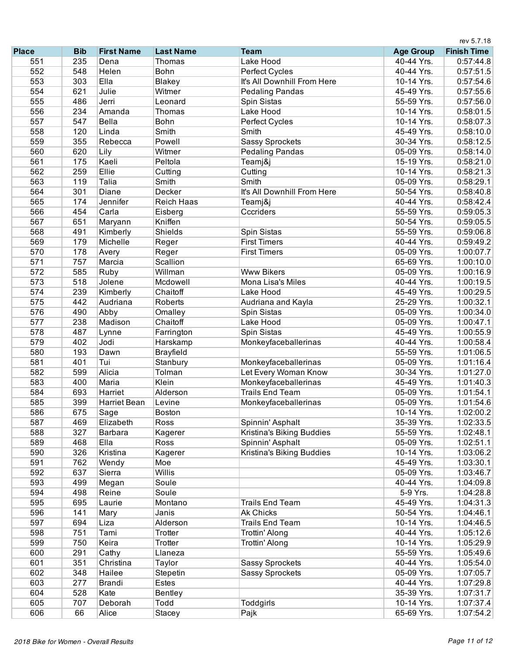|              |            |                     |                   |                             | rev 5.7.18       |                    |  |
|--------------|------------|---------------------|-------------------|-----------------------------|------------------|--------------------|--|
| <b>Place</b> | <b>Bib</b> | <b>First Name</b>   | <b>Last Name</b>  | <b>Team</b>                 | <b>Age Group</b> | <b>Finish Time</b> |  |
| 551          | 235        | Dena                | Thomas            | Lake Hood                   | 40-44 Yrs.       | 0:57:44.8          |  |
| 552          | 548        | Helen               | Bohn              | Perfect Cycles              | 40-44 Yrs.       | 0:57:51.5          |  |
| 553          | 303        | Ella                | Blakey            | It's All Downhill From Here | 10-14 Yrs.       | 0:57:54.6          |  |
| 554          | 621        | Julie               | Witmer            | <b>Pedaling Pandas</b>      | 45-49 Yrs.       | 0:57:55.6          |  |
| 555          | 486        | Jerri               | Leonard           | Spin Sistas                 | 55-59 Yrs.       | 0:57:56.0          |  |
| 556          | 234        | Amanda              | Thomas            | Lake Hood                   | 10-14 Yrs.       | 0:58:01.5          |  |
| 557          | 547        | Bella               | Bohn              | Perfect Cycles              | 10-14 Yrs.       | 0:58:07.3          |  |
| 558          | 120        | Linda               | Smith             | Smith                       | 45-49 Yrs.       | 0:58:10.0          |  |
| 559          | 355        | Rebecca             | Powell            | <b>Sassy Sprockets</b>      | 30-34 Yrs.       | 0:58:12.5          |  |
| 560          | 620        | Lily                | Witmer            | <b>Pedaling Pandas</b>      | 05-09 Yrs.       | 0:58:14.0          |  |
| 561          | 175        | Kaeli               | Peltola           | Teamj&j                     | 15-19 Yrs.       | 0:58:21.0          |  |
| 562          | 259        | Ellie               | Cutting           | Cutting                     | 10-14 Yrs.       | 0:58:21.3          |  |
| 563          | 119        | Talia               | Smith             | Smith                       | 05-09 Yrs.       | 0:58:29.1          |  |
| 564          | 301        | Diane               | Decker            | It's All Downhill From Here | 50-54 Yrs.       | 0:58:40.8          |  |
| 565          | 174        | Jennifer            | <b>Reich Haas</b> | Teamj&j                     | 40-44 Yrs.       | 0:58:42.4          |  |
| 566          | 454        | Carla               | Eisberg           | Cccriders                   | 55-59 Yrs.       | 0:59:05.3          |  |
| 567          | 651        | Maryann             | Kniffen           |                             | 50-54 Yrs.       | 0:59:05.5          |  |
| 568          | 491        | Kimberly            | Shields           | Spin Sistas                 | 55-59 Yrs.       | 0:59:06.8          |  |
| 569          | 179        | Michelle            | Reger             | <b>First Timers</b>         | 40-44 Yrs.       | 0:59:49.2          |  |
| 570          | 178        | Avery               | Reger             | <b>First Timers</b>         | 05-09 Yrs.       | 1:00:07.7          |  |
| 571          | 757        | Marcia              | Scallion          |                             | 65-69 Yrs.       | 1:00:10.0          |  |
| 572          | 585        | Ruby                | Willman           | <b>Www Bikers</b>           | 05-09 Yrs.       | 1:00:16.9          |  |
| 573          | 518        | Jolene              | Mcdowell          | Mona Lisa's Miles           | 40-44 Yrs.       | 1:00:19.5          |  |
| 574          | 239        | Kimberly            | Chaitoff          | Lake Hood                   | 45-49 Yrs.       | 1:00:29.5          |  |
| 575          | 442        | Audriana            | Roberts           | Audriana and Kayla          | 25-29 Yrs.       | 1:00:32.1          |  |
| 576          | 490        | Abby                | Omalley           | Spin Sistas                 | 05-09 Yrs.       | 1:00:34.0          |  |
| 577          | 238        | Madison             | Chaitoff          | Lake Hood                   | 05-09 Yrs.       | 1:00:47.1          |  |
| 578          | 487        | Lynne               | Farrington        | Spin Sistas                 | 45-49 Yrs.       | 1:00:55.9          |  |
| 579          | 402        | Jodi                | Harskamp          | Monkeyfaceballerinas        | 40-44 Yrs.       | 1:00:58.4          |  |
| 580          | 193        | Dawn                | <b>Brayfield</b>  |                             | 55-59 Yrs.       | 1:01:06.5          |  |
| 581          | 401        | Tui                 | Stanbury          | Monkeyfaceballerinas        | 05-09 Yrs.       | 1:01:16.4          |  |
| 582          | 599        | Alicia              | Tolman            | Let Every Woman Know        | 30-34 Yrs.       | 1:01:27.0          |  |
| 583          | 400        | Maria               | Klein             | Monkeyfaceballerinas        | 45-49 Yrs.       | 1:01:40.3          |  |
| 584          | 693        | Harriet             | Alderson          | <b>Trails End Team</b>      | 05-09 Yrs.       | 1:01:54.1          |  |
| 585          | 399        | <b>Harriet Bean</b> | Levine            | Monkeyfaceballerinas        | 05-09 Yrs.       | 1:01:54.6          |  |
| 586          | 675        | Sage                | <b>Boston</b>     |                             | 10-14 Yrs.       | 1:02:00.2          |  |
| 587          | 469        | Elizabeth           | Ross              | Spinnin' Asphalt            | 35-39 Yrs.       | 1:02:33.5          |  |
| 588          | 327        | Barbara             | Kagerer           | Kristina's Biking Buddies   | 55-59 Yrs.       | 1:02:48.1          |  |
| 589          | 468        | Ella                | Ross              | Spinnin' Asphalt            | 05-09 Yrs.       | 1:02:51.1          |  |
| 590          | 326        | Kristina            | Kagerer           | Kristina's Biking Buddies   | 10-14 Yrs.       | 1:03:06.2          |  |
| 591          | 762        | Wendy               | Moe               |                             | 45-49 Yrs.       | 1:03:30.1          |  |
| 592          | 637        | Sierra              | Willis            |                             | 05-09 Yrs.       | 1:03:46.7          |  |
| 593          | 499        | Megan               | Soule             |                             | 40-44 Yrs.       | 1:04:09.8          |  |
| 594          | 498        | Reine               | Soule             |                             | 5-9 Yrs.         | 1:04:28.8          |  |
| 595          | 695        | Laurie              | Montano           | <b>Trails End Team</b>      | 45-49 Yrs.       | 1:04:31.3          |  |
| 596          | 141        | Mary                | Janis             | Ak Chicks                   | 50-54 Yrs.       | 1:04:46.1          |  |
| 597          | 694        | Liza                | Alderson          | <b>Trails End Team</b>      | 10-14 Yrs.       | 1:04:46.5          |  |
| 598          | 751        | Tami                | Trotter           | <b>Trottin' Along</b>       | 40-44 Yrs.       | 1:05:12.6          |  |
| 599          | 750        | Keira               | Trotter           | <b>Trottin' Along</b>       | 10-14 Yrs.       | 1:05:29.9          |  |
| 600          | 291        | Cathy               | Llaneza           |                             | 55-59 Yrs.       | 1:05:49.6          |  |
| 601          | 351        | Christina           | Taylor            | <b>Sassy Sprockets</b>      | 40-44 Yrs.       | 1:05:54.0          |  |
| 602          | 348        | Hailee              | Stepetin          | <b>Sassy Sprockets</b>      | 05-09 Yrs.       | 1:07:05.7          |  |
| 603          | 277        | Brandi              | Estes             |                             | 40-44 Yrs.       | 1:07:29.8          |  |
| 604          | 528        | Kate                | Bentley           |                             | 35-39 Yrs.       | 1:07:31.7          |  |
| 605          | 707        | Deborah             | Todd              | Toddgirls                   | 10-14 Yrs.       | 1:07:37.4          |  |
| 606          | 66         | Alice               | Stacey            | Pajk                        | 65-69 Yrs.       | 1:07:54.2          |  |
|              |            |                     |                   |                             |                  |                    |  |